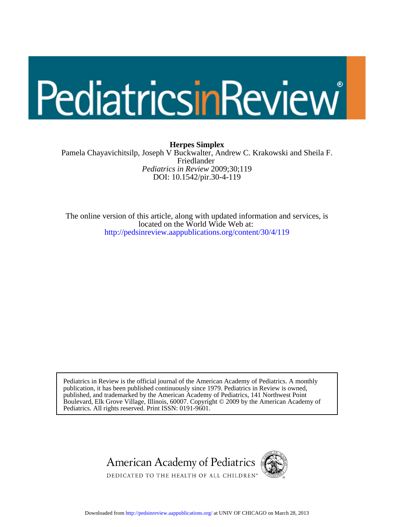# PediatricsinReview

#### **Herpes Simplex**

DOI: 10.1542/pir.30-4-119 *Pediatrics in Review* 2009;30;119 Friedlander Pamela Chayavichitsilp, Joseph V Buckwalter, Andrew C. Krakowski and Sheila F.

<http://pedsinreview.aappublications.org/content/30/4/119> located on the World Wide Web at: The online version of this article, along with updated information and services, is

Pediatrics. All rights reserved. Print ISSN: 0191-9601. Boulevard, Elk Grove Village, Illinois, 60007. Copyright © 2009 by the American Academy of published, and trademarked by the American Academy of Pediatrics, 141 Northwest Point publication, it has been published continuously since 1979. Pediatrics in Review is owned, Pediatrics in Review is the official journal of the American Academy of Pediatrics. A monthly

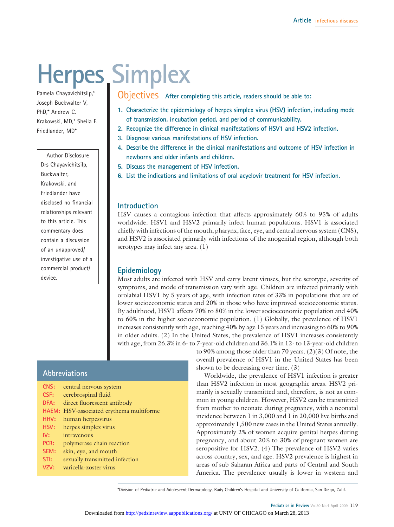# **Herpes Simplex**

Pamela Chayavichitsilp,\* Joseph Buckwalter V, PhD,\* Andrew C. Krakowski, MD,\* Sheila F. Friedlander, MD\*

Author Disclosure Drs Chayavichitsilp, Buckwalter, Krakowski, and Friedlander have disclosed no financial relationships relevant to this article. This commentary does contain a discussion of an unapproved/ investigative use of a commercial product/ device.

# Objectives **After completing this article, readers should be able to:**

- **1. Characterize the epidemiology of herpes simplex virus (HSV) infection, including mode of transmission, incubation period, and period of communicability.**
- **2. Recognize the difference in clinical manifestations of HSV1 and HSV2 infection.**
- **3. Diagnose various manifestations of HSV infection.**
- **4. Describe the difference in the clinical manifestations and outcome of HSV infection in newborns and older infants and children.**
- **5. Discuss the management of HSV infection.**
- **6. List the indications and limitations of oral acyclovir treatment for HSV infection.**

#### **Introduction**

HSV causes a contagious infection that affects approximately 60% to 95% of adults worldwide. HSV1 and HSV2 primarily infect human populations. HSV1 is associated chiefly with infections of the mouth, pharynx, face, eye, and central nervous system (CNS), and HSV2 is associated primarily with infections of the anogenital region, although both serotypes may infect any area. (1)

#### **Epidemiology**

Most adults are infected with HSV and carry latent viruses, but the serotype, severity of symptoms, and mode of transmission vary with age. Children are infected primarily with orolabial HSV1 by 5 years of age, with infection rates of 33% in populations that are of lower socioeconomic status and 20% in those who have improved socioeconomic status. By adulthood, HSV1 affects 70% to 80% in the lower socioeconomic population and 40% to 60% in the higher socioeconomic population. (1) Globally, the prevalence of HSV1 increases consistently with age, reaching 40% by age 15 years and increasing to 60% to 90% in older adults. (2) In the United States, the prevalence of HSV1 increases consistently with age, from 26.3% in 6- to 7-year-old children and 36.1% in 12- to 13-year-old children

#### **Abbreviations**

| CNS: | central nervous system                   |
|------|------------------------------------------|
| CSF: | cerebrospinal fluid                      |
| DFA: | direct fluorescent antibody              |
|      | HAEM: HSV-associated erythema multiforme |
| HHV: | human herpesvirus                        |
| HSV: | herpes simplex virus                     |
| IV:  | intravenous                              |
| PCR: | polymerase chain reaction                |
| SEM: | skin, eye, and mouth                     |
| STI: | sexually transmitted infection           |
| VZV: | varicella-zoster virus                   |

to 90% among those older than 70 years. (2)(3) Of note, the overall prevalence of HSV1 in the United States has been shown to be decreasing over time. (3)

Worldwide, the prevalence of HSV1 infection is greater than HSV2 infection in most geographic areas. HSV2 primarily is sexually transmitted and, therefore, is not as common in young children. However, HSV2 can be transmitted from mother to neonate during pregnancy, with a neonatal incidence between 1 in 3,000 and 1 in 20,000 live births and approximately 1,500 new cases in the United States annually. Approximately 2% of women acquire genital herpes during pregnancy, and about 20% to 30% of pregnant women are seropositive for HSV2. (4) The prevalence of HSV2 varies across country, sex, and age. HSV2 prevalence is highest in areas of sub-Saharan Africa and parts of Central and South America. The prevalence usually is lower in western and

\*Division of Pediatric and Adolescent Dermatology, Rady Children's Hospital and University of California, San Diego, Calif.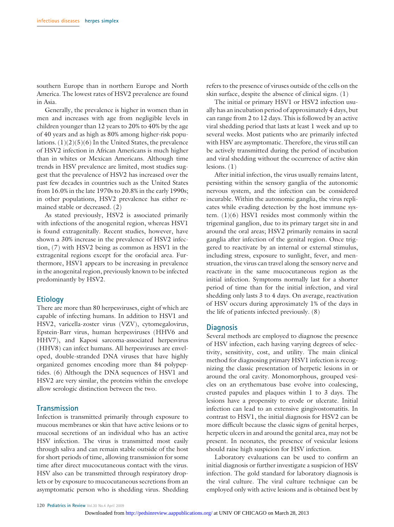southern Europe than in northern Europe and North America. The lowest rates of HSV2 prevalence are found in Asia.

Generally, the prevalence is higher in women than in men and increases with age from negligible levels in children younger than 12 years to 20% to 40% by the age of 40 years and as high as 80% among higher-risk populations.  $(1)(2)(5)(6)$  In the United States, the prevalence of HSV2 infection in African Americans is much higher than in whites or Mexican Americans. Although time trends in HSV prevalence are limited, most studies suggest that the prevalence of HSV2 has increased over the past few decades in countries such as the United States from 16.0% in the late 1970s to 20.8% in the early 1990s; in other populations, HSV2 prevalence has either remained stable or decreased. (2)

As stated previously, HSV2 is associated primarily with infections of the anogenital region, whereas HSV1 is found extragenitally. Recent studies, however, have shown a 30% increase in the prevalence of HSV2 infection, (7) with HSV2 being as common as HSV1 in the extragenital regions except for the orofacial area. Furthermore, HSV1 appears to be increasing in prevalence in the anogenital region, previously known to be infected predominantly by HSV2.

#### **Etiology**

There are more than 80 herpesviruses, eight of which are capable of infecting humans. In addition to HSV1 and HSV2, varicella-zoster virus (VZV), cytomegalovirus, Epstein-Barr virus, human herpesviruses (HHV6 and HHV7), and Kaposi sarcoma-associated herpesvirus (HHV8) can infect humans. All herpesviruses are enveloped, double-stranded DNA viruses that have highly organized genomes encoding more than 84 polypeptides. (6) Although the DNA sequences of HSV1 and HSV2 are very similar, the proteins within the envelope allow serologic distinction between the two.

#### **Transmission**

Infection is transmitted primarily through exposure to mucous membranes or skin that have active lesions or to mucosal secretions of an individual who has an active HSV infection. The virus is transmitted most easily through saliva and can remain stable outside of the host for short periods of time, allowing transmission for some time after direct mucocutaneous contact with the virus. HSV also can be transmitted through respiratory droplets or by exposure to mucocutaneous secretions from an asymptomatic person who is shedding virus. Shedding refers to the presence of viruses outside of the cells on the skin surface, despite the absence of clinical signs. (1)

The initial or primary HSV1 or HSV2 infection usually has an incubation period of approximately 4 days, but can range from 2 to 12 days. This is followed by an active viral shedding period that lasts at least 1 week and up to several weeks. Most patients who are primarily infected with HSV are asymptomatic. Therefore, the virus still can be actively transmitted during the period of incubation and viral shedding without the occurrence of active skin lesions. (1)

After initial infection, the virus usually remains latent, persisting within the sensory ganglia of the autonomic nervous system, and the infection can be considered incurable. Within the autonomic ganglia, the virus replicates while evading detection by the host immune system. (1)(6) HSV1 resides most commonly within the trigeminal ganglion, due to its primary target site in and around the oral areas; HSV2 primarily remains in sacral ganglia after infection of the genital region. Once triggered to reactivate by an internal or external stimulus, including stress, exposure to sunlight, fever, and menstruation, the virus can travel along the sensory nerve and reactivate in the same mucocutaneous region as the initial infection. Symptoms normally last for a shorter period of time than for the initial infection, and viral shedding only lasts 3 to 4 days. On average, reactivation of HSV occurs during approximately 1% of the days in the life of patients infected previously. (8)

#### **Diagnosis**

Several methods are employed to diagnose the presence of HSV infection, each having varying degrees of selectivity, sensitivity, cost, and utility. The main clinical method for diagnosing primary HSV1 infection is recognizing the classic presentation of herpetic lesions in or around the oral cavity. Monomorphous, grouped vesicles on an erythematous base evolve into coalescing, crusted papules and plaques within 1 to 3 days. The lesions have a propensity to erode or ulcerate. Initial infection can lead to an extensive gingivostomatitis. In contrast to HSV1, the initial diagnosis for HSV2 can be more difficult because the classic signs of genital herpes, herpetic ulcers in and around the genital area, may not be present. In neonates, the presence of vesicular lesions should raise high suspicion for HSV infection.

Laboratory evaluations can be used to confirm an initial diagnosis or further investigate a suspicion of HSV infection. The gold standard for laboratory diagnosis is the viral culture. The viral culture technique can be employed only with active lesions and is obtained best by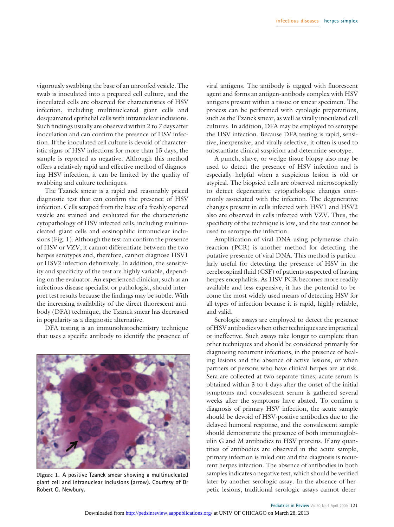vigorously swabbing the base of an unroofed vesicle. The swab is inoculated into a prepared cell culture, and the inoculated cells are observed for characteristics of HSV infection, including multinucleated giant cells and desquamated epithelial cells with intranuclear inclusions. Such findings usually are observed within 2 to 7 days after inoculation and can confirm the presence of HSV infection. If the inoculated cell culture is devoid of characteristic signs of HSV infections for more than 15 days, the sample is reported as negative. Although this method offers a relatively rapid and effective method of diagnosing HSV infection, it can be limited by the quality of swabbing and culture techniques.

The Tzanck smear is a rapid and reasonably priced diagnostic test that can confirm the presence of HSV infection. Cells scraped from the base of a freshly opened vesicle are stained and evaluated for the characteristic cytopathology of HSV infected cells, including multinucleated giant cells and eosinophilic intranuclear inclusions (Fig. 1). Although the test can confirm the presence of HSV or VZV, it cannot differentiate between the two herpes serotypes and, therefore, cannot diagnose HSV1 or HSV2 infection definitively. In addition, the sensitivity and specificity of the test are highly variable, depending on the evaluator. An experienced clinician, such as an infectious disease specialist or pathologist, should interpret test results because the findings may be subtle. With the increasing availability of the direct fluorescent antibody (DFA) technique, the Tzanck smear has decreased in popularity as a diagnostic alternative.

DFA testing is an immunohistochemistry technique that uses a specific antibody to identify the presence of



**Figure 1. A positive Tzanck smear showing a multinucleated giant cell and intranuclear inclusions (arrow). Courtesy of Dr Robert O. Newbury.**

viral antigens. The antibody is tagged with fluorescent agent and forms an antigen-antibody complex with HSV antigens present within a tissue or smear specimen. The process can be performed with cytologic preparations, such as the Tzanck smear, as well as virally inoculated cell cultures. In addition, DFA may be employed to serotype the HSV infection. Because DFA testing is rapid, sensitive, inexpensive, and virally selective, it often is used to substantiate clinical suspicion and determine serotype.

A punch, shave, or wedge tissue biopsy also may be used to detect the presence of HSV infection and is especially helpful when a suspicious lesion is old or atypical. The biopsied cells are observed microscopically to detect degenerative cytopathologic changes commonly associated with the infection. The degenerative changes present in cells infected with HSV1 and HSV2 also are observed in cells infected with VZV. Thus, the specificity of the technique is low, and the test cannot be used to serotype the infection.

Amplification of viral DNA using polymerase chain reaction (PCR) is another method for detecting the putative presence of viral DNA. This method is particularly useful for detecting the presence of HSV in the cerebrospinal fluid (CSF) of patients suspected of having herpes encephalitis. As HSV PCR becomes more readily available and less expensive, it has the potential to become the most widely used means of detecting HSV for all types of infection because it is rapid, highly reliable, and valid.

Serologic assays are employed to detect the presence of HSV antibodies when other techniques are impractical or ineffective. Such assays take longer to complete than other techniques and should be considered primarily for diagnosing recurrent infections, in the presence of healing lesions and the absence of active lesions, or when partners of persons who have clinical herpes are at risk. Sera are collected at two separate times; acute serum is obtained within 3 to 4 days after the onset of the initial symptoms and convalescent serum is gathered several weeks after the symptoms have abated. To confirm a diagnosis of primary HSV infection, the acute sample should be devoid of HSV-positive antibodies due to the delayed humoral response, and the convalescent sample should demonstrate the presence of both immunoglobulin G and M antibodies to HSV proteins. If any quantities of antibodies are observed in the acute sample, primary infection is ruled out and the diagnosis is recurrent herpes infection. The absence of antibodies in both samples indicates a negative test, which should be verified later by another serologic assay. In the absence of herpetic lesions, traditional serologic assays cannot deter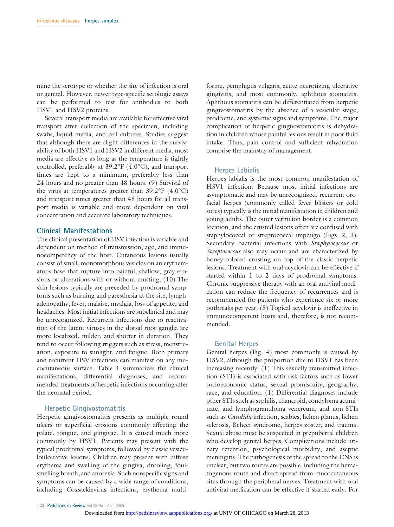mine the serotype or whether the site of infection is oral or genital. However, newer type-specific serologic assays can be performed to test for antibodies to both HSV1 and HSV2 proteins.

Several transport media are available for effective viral transport after collection of the specimen, including swabs, liquid media, and cell cultures. Studies suggest that although there are slight differences in the survivability of both HSV1 and HSV2 in different media, most media are effective as long as the temperature is tightly controlled, preferably at 39.2°F (4.0°C), and transport times are kept to a minimum, preferably less than 24 hours and no greater than 48 hours. (9) Survival of the virus at temperatures greater than 39.2°F (4.0°C) and transport times greater than 48 hours for all transport media is variable and more dependent on viral concentration and accurate laboratory techniques.

#### **Clinical Manifestations**

The clinical presentation of HSV infection is variable and dependent on method of transmission, age, and immunocompetency of the host. Cutaneous lesions usually consist of small, monomorphous vesicles on an erythematous base that rupture into painful, shallow, gray erosions or ulcerations with or without crusting. (10) The skin lesions typically are preceded by prodromal symptoms such as burning and paresthesia at the site, lymphadenopathy, fever, malaise, myalgia, loss of appetite, and headaches. Most initial infections are subclinical and may be unrecognized. Recurrent infections due to reactivation of the latent viruses in the dorsal root ganglia are more localized, milder, and shorter in duration. They tend to occur following triggers such as stress, menstruation, exposure to sunlight, and fatigue. Both primary and recurrent HSV infections can manifest on any mucocutaneous surface. Table 1 summarizes the clinical manifestations, differential diagnoses, and recommended treatments of herpetic infections occurring after the neonatal period.

#### **Herpetic Gingivostomatitis**

Herpetic gingivostomatitis presents as multiple round ulcers or superficial erosions commonly affecting the palate, tongue, and gingivae. It is caused much more commonly by HSV1. Patients may present with the typical prodromal symptoms, followed by classic vesiculoulcerative lesions. Children may present with diffuse erythema and swelling of the gingiva, drooling, foulsmelling breath, and anorexia. Such nonspecific signs and symptoms can be caused by a wide range of conditions, including Coxsackievirus infections, erythema multiforme, pemphigus vulgaris, acute necrotizing ulcerative gingivitis, and most commonly, aphthous stomatitis. Aphthous stomatitis can be differentiated from herpetic gingivostomatitis by the absence of a vesicular stage, prodrome, and systemic signs and symptoms. The major complication of herpetic gingivostomatitis is dehydration in children whose painful lesions result in poor fluid intake. Thus, pain control and sufficient rehydration comprise the mainstay of management.

#### **Herpes Labialis**

Herpes labialis is the most common manifestation of HSV1 infection. Because most initial infections are asymptomatic and may be unrecognized, recurrent orofacial herpes (commonly called fever blisters or cold sores) typically is the initial manifestation in children and young adults. The outer vermilion border is a common location, and the crusted lesions often are confused with staphylococcal or streptococcal impetigo (Figs. 2, 3). Secondary bacterial infections with *Staphylococcus* or *Streptococcus* also may occur and are characterized by honey-colored crusting on top of the classic herpetic lesions. Treatment with oral acyclovir can be effective if started within 1 to 2 days of prodromal symptoms. Chronic suppressive therapy with an oral antiviral medication can reduce the frequency of recurrences and is recommended for patients who experience six or more outbreaks per year. (8) Topical acyclovir is ineffective in immunocompetent hosts and, therefore, is not recommended.

#### **Genital Herpes**

Genital herpes (Fig. 4) most commonly is caused by HSV2, although the proportion due to HSV1 has been increasing recently. (1) This sexually transmitted infection (STI) is associated with risk factors such as lower socioeconomic status, sexual promiscuity, geography, race, and education. (1) Differential diagnoses include other STIs such as syphilis, chancroid, condyloma acuminate, and lymphogranuloma venereum, and non-STIs such as *Candida* infection, scabies, lichen planus, lichen sclerosis, Behçet syndrome, herpes zoster, and trauma. Sexual abuse must be suspected in prepubertal children who develop genital herpes. Complications include urinary retention, psychological morbidity, and aseptic meningitis. The pathogenesis of the spread to the CNS is unclear, but two routes are possible, including the hematogenous route and direct spread from mucocutaneous sites through the peripheral nerves. Treatment with oral antiviral medication can be effective if started early. For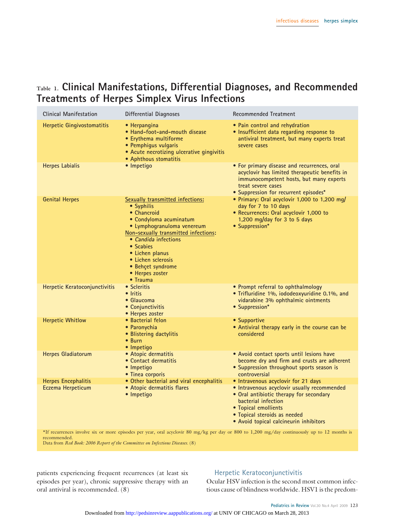# **Table 1. Clinical Manifestations, Differential Diagnoses, and Recommended Treatments of Herpes Simplex Virus Infections**

| <b>Clinical Manifestation</b>                   | <b>Differential Diagnoses</b>                                                                                                                                                                                                                                                                   | <b>Recommended Treatment</b>                                                                                                                                                                                                                           |
|-------------------------------------------------|-------------------------------------------------------------------------------------------------------------------------------------------------------------------------------------------------------------------------------------------------------------------------------------------------|--------------------------------------------------------------------------------------------------------------------------------------------------------------------------------------------------------------------------------------------------------|
| <b>Herpetic Gingivostomatitis</b>               | • Herpangina<br>• Hand-foot-and-mouth disease<br>• Erythema multiforme<br>• Pemphigus vulgaris<br>• Acute necrotizing ulcerative gingivitis<br>• Aphthous stomatitis                                                                                                                            | • Pain control and rehydration<br>• Insufficient data regarding response to<br>antiviral treatment, but many experts treat<br>severe cases                                                                                                             |
| <b>Herpes Labialis</b>                          | · Impetigo                                                                                                                                                                                                                                                                                      | • For primary disease and recurrences, oral<br>acyclovir has limited therapeutic benefits in<br>immunocompetent hosts, but many experts<br>treat severe cases<br>• Suppression for recurrent episodes*                                                 |
| <b>Genital Herpes</b>                           | Sexually transmitted infections:<br>• Syphilis<br>• Chancroid<br>• Condyloma acuminatum<br>• Lymphogranuloma venereum<br>Non-sexually transmitted infections:<br>• Candida infections<br>• Scabies<br>• Lichen planus<br>• Lichen sclerosis<br>· Behçet syndrome<br>• Herpes zoster<br>• Trauma | • Primary: Oral acyclovir 1,000 to 1,200 mg/<br>day for 7 to 10 days<br>• Recurrences: Oral acyclovir 1,000 to<br>1,200 mg/day for 3 to 5 days<br>• Suppression*                                                                                       |
| Herpetic Keratoconjunctivitis                   | • Scleritis<br>• Iritis<br>• Glaucoma<br>• Conjunctivitis<br>• Herpes zoster                                                                                                                                                                                                                    | • Prompt referral to ophthalmology<br>• Trifluridine 1%, iododeoxyuridine 0.1%, and<br>vidarabine 3% ophthalmic ointments<br>• Suppression*                                                                                                            |
| <b>Herpetic Whitlow</b>                         | • Bacterial felon<br>• Paronychia<br>• Blistering dactylitis<br>• Burn<br>• Impetigo                                                                                                                                                                                                            | • Supportive<br>• Antiviral therapy early in the course can be<br>considered                                                                                                                                                                           |
| Herpes Gladiatorum                              | • Atopic dermatitis<br>• Contact dermatitis<br>• Impetigo<br>• Tinea corporis                                                                                                                                                                                                                   | • Avoid contact sports until lesions have<br>become dry and firm and crusts are adherent<br>• Suppression throughout sports season is<br>controversial                                                                                                 |
| <b>Herpes Encephalitis</b><br>Eczema Herpeticum | • Other bacterial and viral encephalitis<br>• Atopic dermatitis flares<br>· Impetigo                                                                                                                                                                                                            | • Intravenous acyclovir for 21 days<br>• Intravenous acyclovir usually recommended<br>• Oral antibiotic therapy for secondary<br>bacterial infection<br>• Topical emollients<br>• Topical steroids as needed<br>• Avoid topical calcineurin inhibitors |

\*If recurrences involve six or more episodes per year, oral acyclovir 80 mg/kg per day or 800 to 1,200 mg/day continuously up to 12 months is recommended.

Data from *Red Book: 2006 Report of the Committee on Infectious Diseases*. (8)

patients experiencing frequent recurrences (at least six episodes per year), chronic suppressive therapy with an oral antiviral is recommended. (8)

#### **Herpetic Keratoconjunctivitis**

Ocular HSV infection is the second most common infectious cause of blindness worldwide. HSV1 is the predom-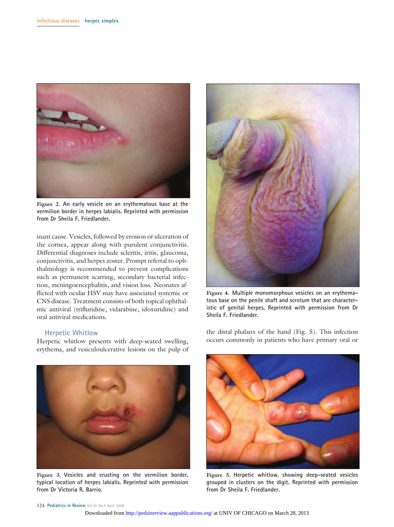

**Figure 2. An early vesicle on an erythematous base at the vermilion border in herpes labialis. Reprinted with permission from Dr Sheila F. Friedlander.**

inant cause. Vesicles, followed by erosion or ulceration of the cornea, appear along with purulent conjunctivitis. Differential diagnoses include scleritis, iritis, glaucoma, conjunctivitis, and herpes zoster. Prompt referral to ophthalmology is recommended to prevent complications such as permanent scarring, secondary bacterial infection, meningoencephalitis, and vision loss. Neonates afflicted with ocular HSV may have associated systemic or CNS disease. Treatment consists of both topical ophthalmic antiviral (trifluridine, vidarabine, idoxuridine) and oral antiviral medications.

#### **Herpetic Whitlow**

Herpetic whitlow presents with deep-seated swelling, erythema, and vesiculoulcerative lesions on the pulp of



**Figure 3. Vesicles and crusting on the vermilion border, typical location of herpes labialis. Reprinted with permission from Dr Victoria R. Barrio.**



**Figure 4. Multiple monomorphous vesicles on an erythematous base on the penile shaft and scrotum that are characteristic of genital herpes. Reprinted with permission from Dr Sheila F. Friedlander.**

the distal phalanx of the hand (Fig. 5). This infection occurs commonly in patients who have primary oral or



**Figure 5. Herpetic whitlow, showing deep-seated vesicles grouped in clusters on the digit. Reprinted with permission from Dr Sheila F. Friedlander.**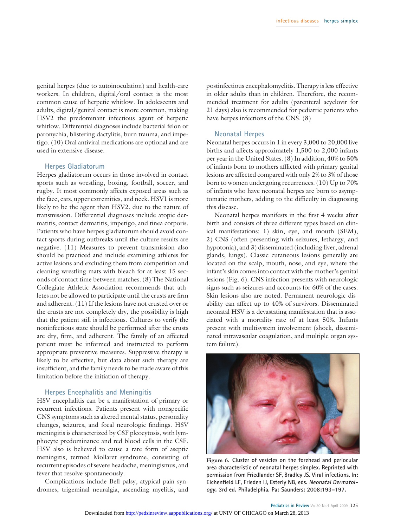genital herpes (due to autoinoculation) and health-care workers. In children, digital/oral contact is the most common cause of herpetic whitlow. In adolescents and adults, digital/genital contact is more common, making HSV2 the predominant infectious agent of herpetic whitlow. Differential diagnoses include bacterial felon or paronychia, blistering dactylitis, burn trauma, and impetigo. (10) Oral antiviral medications are optional and are used in extensive disease.

#### **Herpes Gladiatorum**

Herpes gladiatorum occurs in those involved in contact sports such as wrestling, boxing, football, soccer, and rugby. It most commonly affects exposed areas such as the face, ears, upper extremities, and neck. HSV1 is more likely to be the agent than HSV2, due to the nature of transmission. Differential diagnoses include atopic dermatitis, contact dermatitis, impetigo, and tinea corporis. Patients who have herpes gladiatorum should avoid contact sports during outbreaks until the culture results are negative. (11) Measures to prevent transmission also should be practiced and include examining athletes for active lesions and excluding them from competition and cleaning wrestling mats with bleach for at least 15 seconds of contact time between matches. (8) The National Collegiate Athletic Association recommends that athletes not be allowed to participate until the crusts are firm and adherent. (11) If the lesions have not crusted over or the crusts are not completely dry, the possibility is high that the patient still is infectious. Cultures to verify the noninfectious state should be performed after the crusts are dry, firm, and adherent. The family of an affected patient must be informed and instructed to perform appropriate preventive measures. Suppressive therapy is likely to be effective, but data about such therapy are insufficient, and the family needs to be made aware of this limitation before the initiation of therapy.

#### **Herpes Encephalitis and Meningitis**

HSV encephalitis can be a manifestation of primary or recurrent infections. Patients present with nonspecific CNS symptoms such as altered mental status, personality changes, seizures, and focal neurologic findings. HSV meningitis is characterized by CSF pleocytosis, with lymphocyte predominance and red blood cells in the CSF. HSV also is believed to cause a rare form of aseptic meningitis, termed Mollaret syndrome, consisting of recurrent episodes of severe headache, meningismus, and fever that resolve spontaneously.

Complications include Bell palsy, atypical pain syndromes, trigeminal neuralgia, ascending myelitis, and postinfectious encephalomyelitis. Therapy is less effective in older adults than in children. Therefore, the recommended treatment for adults (parenteral acyclovir for 21 days) also is recommended for pediatric patients who have herpes infections of the CNS. (8)

#### **Neonatal Herpes**

Neonatal herpes occurs in 1 in every 3,000 to 20,000 live births and affects approximately 1,500 to 2,000 infants per year in the United States. (8) In addition, 40% to 50% of infants born to mothers afflicted with primary genital lesions are affected compared with only 2% to 3% of those born to women undergoing recurrences. (10) Up to 70% of infants who have neonatal herpes are born to asymptomatic mothers, adding to the difficulty in diagnosing this disease.

Neonatal herpes manifests in the first 4 weeks after birth and consists of three different types based on clinical manifestations: 1) skin, eye, and mouth (SEM), 2) CNS (often presenting with seizures, lethargy, and hypotonia), and 3) disseminated (including liver, adrenal glands, lungs). Classic cutaneous lesions generally are located on the scalp, mouth, nose, and eye, where the infant's skin comes into contact with the mother's genital lesions (Fig. 6). CNS infection presents with neurologic signs such as seizures and accounts for 60% of the cases. Skin lesions also are noted. Permanent neurologic disability can affect up to 40% of survivors. Disseminated neonatal HSV is a devastating manifestation that is associated with a mortality rate of at least 50%. Infants present with multisystem involvement (shock, disseminated intravascular coagulation, and multiple organ system failure).



**Figure 6. Cluster of vesicles on the forehead and periocular area characteristic of neonatal herpes simplex. Reprinted with permission from Friedlander SF, Bradley JS. Viral infections. In: Eichenfield LF, Frieden IJ, Esterly NB, eds. Neonatal Dermatology. 3rd ed. Philadelphia, Pa: Saunders; 2008:193–197.**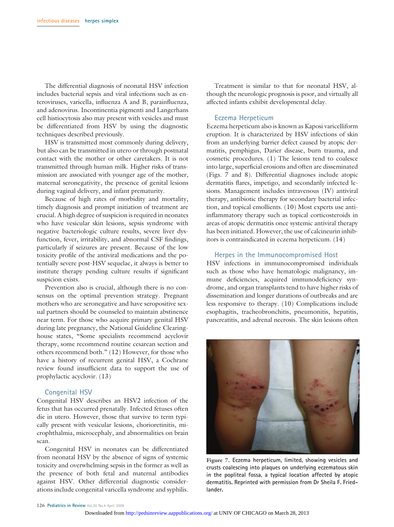The differential diagnosis of neonatal HSV infection includes bacterial sepsis and viral infections such as enteroviruses, varicella, influenza A and B, parainfluenza, and adenovirus. Incontinentia pigmenti and Langerhans cell histiocytosis also may present with vesicles and must be differentiated from HSV by using the diagnostic techniques described previously.

HSV is transmitted most commonly during delivery, but also can be transmitted in utero or through postnatal contact with the mother or other caretakers. It is not transmitted through human milk. Higher risks of transmission are associated with younger age of the mother, maternal seronegativity, the presence of genital lesions during vaginal delivery, and infant prematurity.

Because of high rates of morbidity and mortality, timely diagnosis and prompt initiation of treatment are crucial. A high degree of suspicion is required in neonates who have vesicular skin lesions, sepsis syndrome with negative bacteriologic culture results, severe liver dysfunction, fever, irritability, and abnormal CSF findings, particularly if seizures are present. Because of the low toxicity profile of the antiviral medications and the potentially severe post-HSV sequelae, it always is better to institute therapy pending culture results if significant suspicion exists.

Prevention also is crucial, although there is no consensus on the optimal prevention strategy. Pregnant mothers who are seronegative and have seropositive sexual partners should be counseled to maintain abstinence near term. For those who acquire primary genital HSV during late pregnancy, the National Guideline Clearinghouse states, "Some specialists recommend acyclovir therapy, some recommend routine cesarean section and others recommend both." (12) However, for those who have a history of recurrent genital HSV, a Cochrane review found insufficient data to support the use of prophylactic acyclovir. (13)

#### **Congenital HSV**

Congenital HSV describes an HSV2 infection of the fetus that has occurred prenatally. Infected fetuses often die in utero. However, those that survive to term typically present with vesicular lesions, chorioretinitis, microphthalmia, microcephaly, and abnormalities on brain scan.

Congenital HSV in neonates can be differentiated from neonatal HSV by the absence of signs of systemic toxicity and overwhelming sepsis in the former as well as the presence of both fetal and maternal antibodies against HSV. Other differential diagnostic considerations include congenital varicella syndrome and syphilis.

Treatment is similar to that for neonatal HSV, although the neurologic prognosis is poor, and virtually all affected infants exhibit developmental delay.

#### **Eczema Herpeticum**

Eczema herpeticum also is known as Kaposi varicelliform eruption. It is characterized by HSV infections of skin from an underlying barrier defect caused by atopic dermatitis, pemphigus, Darier disease, burn trauma, and cosmetic procedures. (1) The lesions tend to coalesce into large, superficial erosions and often are disseminated (Figs. 7 and 8). Differential diagnoses include atopic dermatitis flares, impetigo, and secondarily infected lesions. Management includes intravenous (IV) antiviral therapy, antibiotic therapy for secondary bacterial infection, and topical emollients. (10) Most experts use antiinflammatory therapy such as topical corticosteroids in areas of atopic dermatitis once systemic antiviral therapy has been initiated. However, the use of calcineurin inhibitors is contraindicated in eczema herpeticum. (14)

#### **Herpes in the Immunocompromised Host**

HSV infections in immunocompromised individuals such as those who have hematologic malignancy, immune deficiencies, acquired immunodeficiency syndrome, and organ transplants tend to have higher risks of dissemination and longer durations of outbreaks and are less responsive to therapy. (10) Complications include esophagitis, tracheobronchitis, pneumonitis, hepatitis, pancreatitis, and adrenal necrosis. The skin lesions often



**Figure 7. Eczema herpeticum, limited, showing vesicles and crusts coalescing into plaques on underlying eczematous skin in the popliteal fossa, a typical location affected by atopic dermatitis. Reprinted with permission from Dr Sheila F. Friedlander.**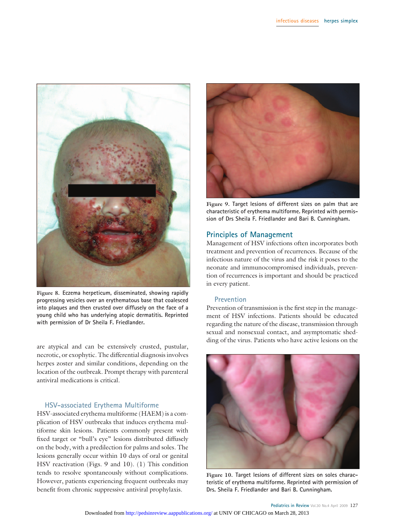

**Figure 8. Eczema herpeticum, disseminated, showing rapidly progressing vesicles over an erythematous base that coalesced into plaques and then crusted over diffusely on the face of a young child who has underlying atopic dermatitis. Reprinted with permission of Dr Sheila F. Friedlander.**

are atypical and can be extensively crusted, pustular, necrotic, or exophytic. The differential diagnosis involves herpes zoster and similar conditions, depending on the location of the outbreak. Prompt therapy with parenteral antiviral medications is critical.

#### **HSV-associated Erythema Multiforme**

HSV-associated erythema multiforme (HAEM) is a complication of HSV outbreaks that induces erythema multiforme skin lesions. Patients commonly present with fixed target or "bull's eye" lesions distributed diffusely on the body, with a predilection for palms and soles. The lesions generally occur within 10 days of oral or genital HSV reactivation (Figs. 9 and 10). (1) This condition tends to resolve spontaneously without complications. However, patients experiencing frequent outbreaks may benefit from chronic suppressive antiviral prophylaxis.



**Figure 9. Target lesions of different sizes on palm that are characteristic of erythema multiforme. Reprinted with permission of Drs Sheila F. Friedlander and Bari B. Cunningham.**

#### **Principles of Management**

Management of HSV infections often incorporates both treatment and prevention of recurrences. Because of the infectious nature of the virus and the risk it poses to the neonate and immunocompromised individuals, prevention of recurrences is important and should be practiced in every patient.

#### **Prevention**

Prevention of transmission is the first step in the management of HSV infections. Patients should be educated regarding the nature of the disease, transmission through sexual and nonsexual contact, and asymptomatic shedding of the virus. Patients who have active lesions on the



**Figure 10. Target lesions of different sizes on soles characteristic of erythema multiforme. Reprinted with permission of Drs. Sheila F. Friedlander and Bari B. Cunningham.**

Pediatrics in Review Vol.30 No.4 April 2009 127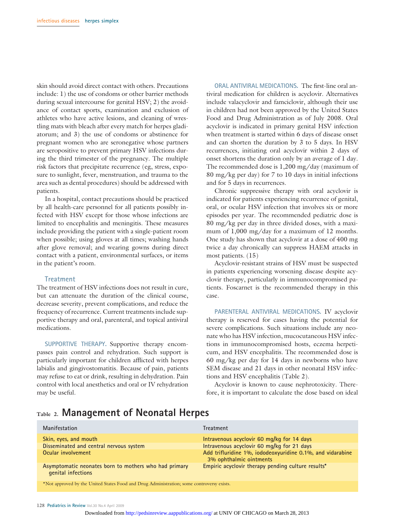skin should avoid direct contact with others. Precautions include: 1) the use of condoms or other barrier methods during sexual intercourse for genital HSV; 2) the avoidance of contact sports, examination and exclusion of athletes who have active lesions, and cleaning of wrestling mats with bleach after every match for herpes gladiatorum; and 3) the use of condoms or abstinence for pregnant women who are seronegative whose partners are seropositive to prevent primary HSV infections during the third trimester of the pregnancy. The multiple risk factors that precipitate recurrence (eg, stress, exposure to sunlight, fever, menstruation, and trauma to the area such as dental procedures) should be addressed with patients.

In a hospital, contact precautions should be practiced by all health-care personnel for all patients possibly infected with HSV except for those whose infections are limited to encephalitis and meningitis. These measures include providing the patient with a single-patient room when possible; using gloves at all times; washing hands after glove removal; and wearing gowns during direct contact with a patient, environmental surfaces, or items in the patient's room.

#### **Treatment**

The treatment of HSV infections does not result in cure, but can attenuate the duration of the clinical course, decrease severity, prevent complications, and reduce the frequency of recurrence. Current treatments include supportive therapy and oral, parenteral, and topical antiviral medications.

**SUPPORTIVE THERAPY.** Supportive therapy encompasses pain control and rehydration. Such support is particularly important for children afflicted with herpes labialis and gingivostomatitis. Because of pain, patients may refuse to eat or drink, resulting in dehydration. Pain control with local anesthetics and oral or IV rehydration may be useful.

**ORAL ANTIVIRAL MEDICATIONS.** The first-line oral antiviral medication for children is acyclovir. Alternatives include valacyclovir and famciclovir, although their use in children had not been approved by the United States Food and Drug Administration as of July 2008. Oral acyclovir is indicated in primary genital HSV infection when treatment is started within 6 days of disease onset and can shorten the duration by 3 to 5 days. In HSV recurrences, initiating oral acyclovir within 2 days of onset shortens the duration only by an average of 1 day. The recommended dose is 1,200 mg/day (maximum of 80 mg/kg per day) for 7 to 10 days in initial infections and for 5 days in recurrences.

Chronic suppressive therapy with oral acyclovir is indicated for patients experiencing recurrence of genital, oral, or ocular HSV infection that involves six or more episodes per year. The recommended pediatric dose is 80 mg/kg per day in three divided doses, with a maximum of 1,000 mg/day for a maximum of 12 months. One study has shown that acyclovir at a dose of 400 mg twice a day chronically can suppress HAEM attacks in most patients. (15)

Acyclovir-resistant strains of HSV must be suspected in patients experiencing worsening disease despite acyclovir therapy, particularly in immunocompromised patients. Foscarnet is the recommended therapy in this case.

**PARENTERAL ANTIVIRAL MEDICATIONS.** IV acyclovir therapy is reserved for cases having the potential for severe complications. Such situations include any neonate who has HSV infection, mucocutaneous HSV infections in immunocompromised hosts, eczema herpeticum, and HSV encephalitis. The recommended dose is 60 mg/kg per day for 14 days in newborns who have SEM disease and 21 days in other neonatal HSV infections and HSV encephalitis (Table 2).

Acyclovir is known to cause nephrotoxicity. Therefore, it is important to calculate the dose based on ideal

# **Table 2. Management of Neonatal Herpes**

| <b>Manifestation</b>                                                        | Treatment                                                                             |
|-----------------------------------------------------------------------------|---------------------------------------------------------------------------------------|
| Skin, eyes, and mouth                                                       | Intravenous acyclovir 60 mg/kg for 14 days                                            |
| Disseminated and central nervous system                                     | Intravenous acyclovir 60 mg/kg for 21 days                                            |
| Ocular involvement                                                          | Add trifluridine 1%, iododeoxyuridine 0.1%, and vidarabine<br>3% ophthalmic ointments |
| Asymptomatic neonates born to mothers who had primary<br>genital infections | Empiric acyclovir therapy pending culture results*                                    |
|                                                                             |                                                                                       |

\*Not approved by the United States Food and Drug Administration; some controversy exists.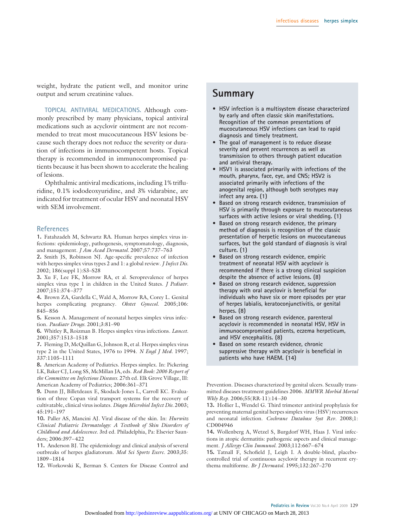weight, hydrate the patient well, and monitor urine output and serum creatinine values.

**TOPICAL ANTIVIRAL MEDICATIONS.** Although commonly prescribed by many physicians, topical antiviral medications such as acyclovir ointment are not recommended to treat most mucocutaneous HSV lesions because such therapy does not reduce the severity or duration of infections in immunocompetent hosts. Topical therapy is recommended in immunocompromised patients because it has been shown to accelerate the healing of lesions.

Ophthalmic antiviral medications, including 1% trifluridine, 0.1% iododeoxyuridine, and 3% vidarabine, are indicated for treatment of ocular HSV and neonatal HSV with SEM involvement.

#### **References**

**1.** Fatahzadeh M, Schwartz RA. Human herpes simplex virus infections: epidemiology, pathogenesis, symptomatology, diagnosis, and management. *J Am Acad Dermatol.* 2007;57:737–763

**2.** Smith JS, Robinson NJ. Age-specific prevalence of infection with herpes simplex virus types 2 and 1: a global review. *J Infect Dis.* 2002; 186(suppl 1):S3–S28

**3.** Xu F, Lee FK, Morrow RA, et al. Seroprevalence of herpes simplex virus type 1 in children in the United States. *J Pediatr.* 2007;151:374 –377

**4.** Brown ZA, Gardella C, Wald A, Morrow RA, Corey L. Genital herpes complicating pregnancy. *Obstet Gynecol.* 2005;106: 845– 856

**5.** Kesson A. Management of neonatal herpes simplex virus infection. *Paediatr Drugs.* 2001;3:81–90

**6.** Whitley R, Roizman B. Herpes simplex virus infections. *Lancet.* 2001;357:1513–1518

**7.** Fleming D, McQuillan G, Johnson R, et al. Herpes simplex virus type 2 in the United States, 1976 to 1994. *N Engl J Med.* 1997; 337:1105–1111

**8.** American Academy of Pediatrics. Herpes simplex. In: Pickering LK, Baker CJ, Long SS, McMillan JA, eds. *Red Book: 2006 Report of the Committee on Infectious Diseases.* 27th ed. Elk Grove Village, Ill: American Academy of Pediatrics; 2006:361–371

**9.** Dunn JJ, Billetdeaux E, Skodack-Jones L, Carroll KC. Evaluation of three Copan viral transport systems for the recovery of cultivatable, clinical virus isolates. *Diagn Microbiol Infect Dis.* 2003; 45:191–197

**10.** Paller AS, Mancini AJ. Viral disease of the skin. In: *Hurwitz Clinical Pediatric Dermatology: A Textbook of Skin Disorders of Childhood and Adolescence.* 3rd ed. Philadelphia, Pa: Elsevier Saunders; 2006:397– 422

**11.** Anderson BJ. The epidemiology and clinical analysis of several outbreaks of herpes gladiatorum. *Med Sci Sports Exerc.* 2003;35: 1809 –1814

**12.** Workowski K, Berman S. Centers for Disease Control and

# **Summary**

- **HSV infection is a multisystem disease characterized by early and often classic skin manifestations. Recognition of the common presentations of mucocutaneous HSV infections can lead to rapid diagnosis and timely treatment.**
- **The goal of management is to reduce disease severity and prevent recurrences as well as transmission to others through patient education and antiviral therapy.**
- **HSV1 is associated primarily with infections of the mouth, pharynx, face, eye, and CNS; HSV2 is associated primarily with infections of the anogenital region, although both serotypes may infect any area. (1)**
- **Based on strong research evidence, transmission of HSV is primarily through exposure to mucocutaneous surfaces with active lesions or viral shedding. (1)**
- **Based on strong research evidence, the primary method of diagnosis is recognition of the classic presentation of herpetic lesions on mucocutaneous surfaces, but the gold standard of diagnosis is viral culture. (1)**
- **Based on strong research evidence, empiric treatment of neonatal HSV with acyclovir is recommended if there is a strong clinical suspicion despite the absence of active lesions. (8)**
- **Based on strong research evidence, suppression therapy with oral acyclovir is beneficial for individuals who have six or more episodes per year of herpes labialis, keratoconjunctivitis, or genital herpes. (8)**
- **Based on strong research evidence, parenteral acyclovir is recommended in neonatal HSV, HSV in immunocompromised patients, eczema herpeticum, and HSV encephalitis. (8)**
- **Based on some research evidence, chronic suppressive therapy with acyclovir is beneficial in patients who have HAEM. (14)**

Prevention. Diseases characterized by genital ulcers. Sexually transmitted diseases treatment guidelines 2006. *MMWR Morbid Mortal Wkly Rep.* 2006;55(RR-11):14 –30

**13.** Hollier L, Wendel G. Third trimester antiviral prophylaxis for preventing maternal genital herpes simplex virus (HSV) recurrences and neonatal infection. *Cochrane Database Syst Rev.* 2008;1: CD004946

**14.** Wollenberg A, Wetzel S, Burgdorf WH, Haas J. Viral infections in atopic dermatitis: pathogenic aspects and clinical management. *J Allergy Clin Immunol.* 2003;112:667-674

**15.** Tatnall F, Schofield J, Leigh I. A double-blind, placebocontrolled trial of continuous acyclovir therapy in recurrent erythema multiforme. *Br J Dermatol.* 1995;132:267–270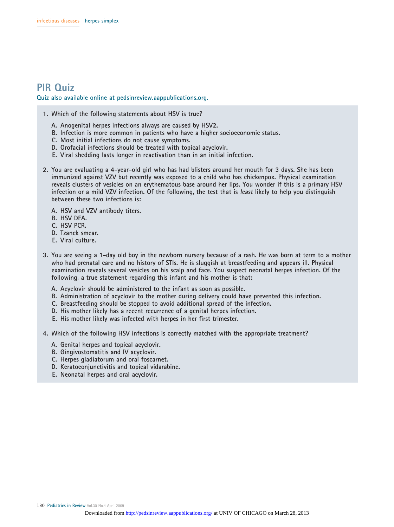# **PIR Quiz**

**Quiz also available online at pedsinreview.aappublications.org.**

- **1. Which of the following statements about HSV is true?**
	- **A. Anogenital herpes infections always are caused by HSV2.**
	- **B. Infection is more common in patients who have a higher socioeconomic status.**
	- **C. Most initial infections do not cause symptoms.**
	- **D. Orofacial infections should be treated with topical acyclovir.**
	- **E. Viral shedding lasts longer in reactivation than in an initial infection.**
- **2. You are evaluating a 4-year-old girl who has had blisters around her mouth for 3 days. She has been immunized against VZV but recently was exposed to a child who has chickenpox. Physical examination reveals clusters of vesicles on an erythematous base around her lips. You wonder if this is a primary HSV infection or a mild VZV infection. Of the following, the test that is least likely to help you distinguish between these two infections is:**
	- **A. HSV and VZV antibody titers.**
	- **B. HSV DFA.**
	- **C. HSV PCR.**
	- **D. Tzanck smear.**
	- **E. Viral culture.**
- **3. You are seeing a 1-day old boy in the newborn nursery because of a rash. He was born at term to a mother who had prenatal care and no history of STIs. He is sluggish at breastfeeding and appears ill. Physical examination reveals several vesicles on his scalp and face. You suspect neonatal herpes infection. Of the following, a true statement regarding this infant and his mother is that:**
	- **A. Acyclovir should be administered to the infant as soon as possible.**
	- **B. Administration of acyclovir to the mother during delivery could have prevented this infection.**
	- **C. Breastfeeding should be stopped to avoid additional spread of the infection.**
	- **D. His mother likely has a recent recurrence of a genital herpes infection.**
	- **E. His mother likely was infected with herpes in her first trimester.**
- **4. Which of the following HSV infections is correctly matched with the appropriate treatment?**
	- **A. Genital herpes and topical acyclovir.**
	- **B. Gingivostomatitis and IV acyclovir.**
	- **C. Herpes gladiatorum and oral foscarnet.**
	- **D. Keratoconjunctivitis and topical vidarabine.**
	- **E. Neonatal herpes and oral acyclovir.**